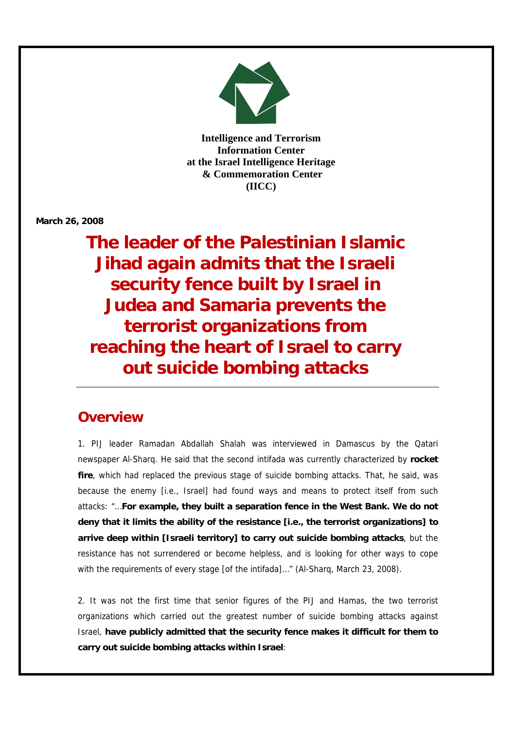

ı

**Intelligence and Terrorism Information Center at the Israel Intelligence Heritage & Commemoration Center (IICC)**

**March 26, 2008**

**The leader of the Palestinian Islamic Jihad again admits that the Israeli security fence built by Israel in Judea and Samaria prevents the terrorist organizations from reaching the heart of Israel to carry out suicide bombing attacks**

## **Overview**

1. PIJ leader Ramadan Abdallah Shalah was interviewed in Damascus by the Qatari newspaper Al-Sharq. He said that the second intifada was currently characterized by **rocket fire**, which had replaced the previous stage of suicide bombing attacks. That, he said, was because the enemy [i.e., Israel] had found ways and means to protect itself from such attacks: "…**For example, they built a separation fence in the West Bank. We do not deny that it limits the ability of the resistance [i.e., the terrorist organizations] to arrive deep within [Israeli territory] to carry out suicide bombing attacks**, but the resistance has not surrendered or become helpless, and is looking for other ways to cope with the requirements of every stage [of the intifada]…" (Al-Sharq, March 23, 2008).

2. It was not the first time that senior figures of the PIJ and Hamas, the two terrorist organizations which carried out the greatest number of suicide bombing attacks against Israel, **have publicly admitted that the security fence makes it difficult for them to carry out suicide bombing attacks within Israel**: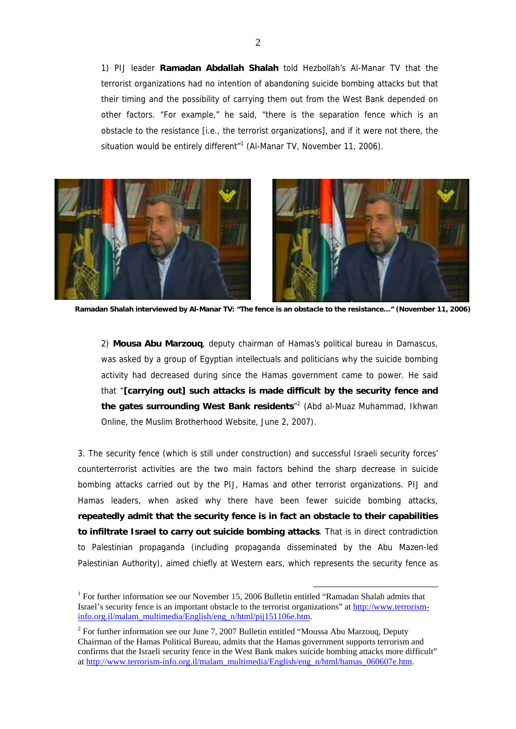1) PIJ leader **Ramadan Abdallah Shalah** told Hezbollah's Al-Manar TV that the terrorist organizations had no intention of abandoning suicide bombing attacks but that their timing and the possibility of carrying them out from the West Bank depended on other factors. "For example," he said, "there is the separation fence which is an obstacle to the resistance [i.e., the terrorist organizations], and if it were not there, the situation would be entirely different<sup>"1</sup> (Al-Manar TV, November 11, 2006).



**Ramadan Shalah interviewed by Al-Manar TV: "The fence is an obstacle to the resistance…" (November 11, 2006)** 

2) **Mousa Abu Marzouq**, deputy chairman of Hamas's political bureau in Damascus, was asked by a group of Egyptian intellectuals and politicians why the suicide bombing activity had decreased during since the Hamas government came to power. He said that "**[carrying out] such attacks is made difficult by the security fence and the gates surrounding West Bank residents**" 2 (Abd al-Muaz Muhammad, Ikhwan Online, the Muslim Brotherhood Website, June 2, 2007).

3. The security fence (which is still under construction) and successful Israeli security forces' counterterrorist activities are the two main factors behind the sharp decrease in suicide bombing attacks carried out by the PIJ, Hamas and other terrorist organizations. PIJ and Hamas leaders, when asked why there have been fewer suicide bombing attacks, **repeatedly admit that the security fence is in fact an obstacle to their capabilities to infiltrate Israel to carry out suicide bombing attacks**. That is in direct contradiction to Palestinian propaganda (including propaganda disseminated by the Abu Mazen-led Palestinian Authority), aimed chiefly at Western ears, which represents the security fence as

<sup>&</sup>lt;sup>1</sup> For further information see our November 15, 2006 Bulletin entitled "Ramadan Shalah admits that [Israel's security fence is an important obstacle to the terrorist organizations" at http://www.terrorism](http://www.terrorism-info.org.il/malam_multimedia/English/eng_n/html/pij151106e.htm)info.org.il/malam\_multimedia/English/eng\_n/html/pij151106e.htm.

<sup>&</sup>lt;sup>2</sup> For further information see our June 7, 2007 Bulletin entitled "Moussa Abu Marzouq, Deputy Chairman of the Hamas Political Bureau, admits that the Hamas government supports terrorism and [confirms that the Israeli security fence in the West Bank makes suicide bombing attacks more difficult"](http://www.terrorism-info.org.il/malam_multimedia/English/eng_n/html/hamas_060607e.htm)  at http://www.terrorism-info.org.il/malam\_multimedia/English/eng\_n/html/hamas\_060607e.htm.